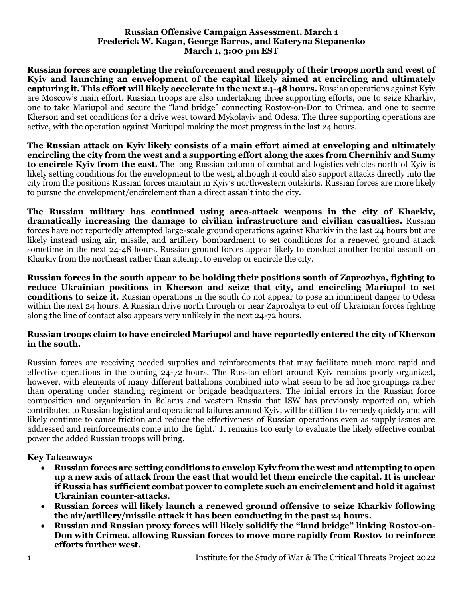#### **Russian Offensive Campaign Assessment, March 1 Frederick W. Kagan, George Barros, and Kateryna Stepanenko March 1, 3:00 pm EST**

**Russian forces are completing the reinforcement and resupply of their troops north and west of Kyiv and launching an envelopment of the capital likely aimed at encircling and ultimately capturing it. This effort will likely accelerate in the next 24-48 hours.** Russian operations against Kyiv are Moscow's main effort. Russian troops are also undertaking three supporting efforts, one to seize Kharkiv, one to take Mariupol and secure the "land bridge" connecting Rostov-on-Don to Crimea, and one to secure Kherson and set conditions for a drive west toward Mykolayiv and Odesa. The three supporting operations are active, with the operation against Mariupol making the most progress in the last 24 hours.

**The Russian attack on Kyiv likely consists of a main effort aimed at enveloping and ultimately encircling the city from the west and a supporting effort along the axes from Chernihiv and Sumy to encircle Kyiv from the east.** The long Russian column of combat and logistics vehicles north of Kyiv is likely setting conditions for the envelopment to the west, although it could also support attacks directly into the city from the positions Russian forces maintain in Kyiv's northwestern outskirts. Russian forces are more likely to pursue the envelopment/encirclement than a direct assault into the city.

**The Russian military has continued using area-attack weapons in the city of Kharkiv, dramatically increasing the damage to civilian infrastructure and civilian casualties.** Russian forces have not reportedly attempted large-scale ground operations against Kharkiv in the last 24 hours but are likely instead using air, missile, and artillery bombardment to set conditions for a renewed ground attack sometime in the next 24-48 hours. Russian ground forces appear likely to conduct another frontal assault on Kharkiv from the northeast rather than attempt to envelop or encircle the city.

**Russian forces in the south appear to be holding their positions south of Zaprozhya, fighting to reduce Ukrainian positions in Kherson and seize that city, and encircling Mariupol to set conditions to seize it.** Russian operations in the south do not appear to pose an imminent danger to Odesa within the next 24 hours. A Russian drive north through or near Zaprozhya to cut off Ukrainian forces fighting along the line of contact also appears very unlikely in the next 24-72 hours.

#### **Russian troops claim to have encircled Mariupol and have reportedly entered the city of Kherson in the south.**

Russian forces are receiving needed supplies and reinforcements that may facilitate much more rapid and effective operations in the coming 24-72 hours. The Russian effort around Kyiv remains poorly organized, however, with elements of many different battalions combined into what seem to be ad hoc groupings rather than operating under standing regiment or brigade headquarters. The initial errors in the Russian force composition and organization in Belarus and western Russia that ISW has previously reported on, which contributed to Russian logistical and operational failures around Kyiv, will be difficult to remedy quickly and will likely continue to cause friction and reduce the effectiveness of Russian operations even as supply issues are addressed and reinforcements come into the fight.<sup>1</sup> It remains too early to evaluate the likely effective combat power the added Russian troops will bring.

# **Key Takeaways**

- **Russian forces are setting conditions to envelop Kyiv from the west and attempting to open up a new axis of attack from the east that would let them encircle the capital. It is unclear if Russia has sufficient combat power to complete such an encirclement and hold it against Ukrainian counter-attacks.**
- **Russian forces will likely launch a renewed ground offensive to seize Kharkiv following the air/artillery/missile attack it has been conducting in the past 24 hours.**
- **Russian and Russian proxy forces will likely solidify the "land bridge" linking Rostov-on-Don with Crimea, allowing Russian forces to move more rapidly from Rostov to reinforce efforts further west.**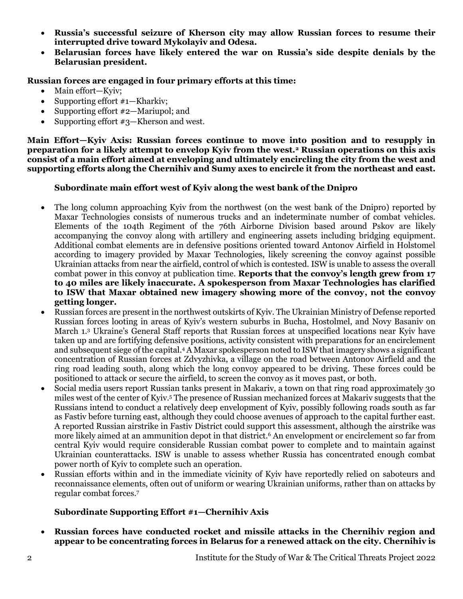- **Russia's successful seizure of Kherson city may allow Russian forces to resume their interrupted drive toward Mykolayiv and Odesa.**
- **Belarusian forces have likely entered the war on Russia's side despite denials by the Belarusian president.**

#### **Russian forces are engaged in four primary efforts at this time:**

- Main effort—Kyiv;
- Supporting effort #1—Kharkiv;
- Supporting effort #2—Mariupol; and
- Supporting effort #3—Kherson and west.

**Main Effort—Kyiv Axis: Russian forces continue to move into position and to resupply in preparation for a likely attempt to envelop Kyiv from the west.<sup>2</sup> Russian operations on this axis consist of a main effort aimed at enveloping and ultimately encircling the city from the west and supporting efforts along the Chernihiv and Sumy axes to encircle it from the northeast and east.**

# **Subordinate main effort west of Kyiv along the west bank of the Dnipro**

- The long column approaching Kyiv from the northwest (on the west bank of the Dnipro) reported by Maxar Technologies consists of numerous trucks and an indeterminate number of combat vehicles. Elements of the 104th Regiment of the 76th Airborne Division based around Pskov are likely accompanying the convoy along with artillery and engineering assets including bridging equipment. Additional combat elements are in defensive positions oriented toward Antonov Airfield in Holstomel according to imagery provided by Maxar Technologies, likely screening the convoy against possible Ukrainian attacks from near the airfield, control of which is contested. ISW is unable to assess the overall combat power in this convoy at publication time. **Reports that the convoy's length grew from 17 to 40 miles are likely inaccurate. A spokesperson from Maxar Technologies has clarified to ISW that Maxar obtained new imagery showing more of the convoy, not the convoy getting longer.**
- Russian forces are present in the northwest outskirts of Kyiv. The Ukrainian Ministry of Defense reported Russian forces looting in areas of Kyiv's western suburbs in Bucha, Hostolmel, and Novy Basaniv on March 1.<sup>3</sup> Ukraine's General Staff reports that Russian forces at unspecified locations near Kyiv have taken up and are fortifying defensive positions, activity consistent with preparations for an encirclement and subsequent siege of the capital.<sup>4</sup> A Maxar spokesperson noted to ISW that imagery shows a significant concentration of Russian forces at Zdvyzhivka, a village on the road between Antonov Airfield and the ring road leading south, along which the long convoy appeared to be driving. These forces could be positioned to attack or secure the airfield, to screen the convoy as it moves past, or both.
- Social media users report Russian tanks present in Makariv, a town on that ring road approximately 30 miles west of the center of Kyiv.<sup>5</sup> The presence of Russian mechanized forces at Makariv suggests that the Russians intend to conduct a relatively deep envelopment of Kyiv, possibly following roads south as far as Fastiv before turning east, although they could choose avenues of approach to the capital further east. A reported Russian airstrike in Fastiv District could support this assessment, although the airstrike was more likely aimed at an ammunition depot in that district.<sup>6</sup> An envelopment or encirclement so far from central Kyiv would require considerable Russian combat power to complete and to maintain against Ukrainian counterattacks. ISW is unable to assess whether Russia has concentrated enough combat power north of Kyiv to complete such an operation.
- Russian efforts within and in the immediate vicinity of Kyiv have reportedly relied on saboteurs and reconnaissance elements, often out of uniform or wearing Ukrainian uniforms, rather than on attacks by regular combat forces.<sup>7</sup>

# **Subordinate Supporting Effort #1—Chernihiv Axis**

• **Russian forces have conducted rocket and missile attacks in the Chernihiv region and appear to be concentrating forces in Belarus for a renewed attack on the city. Chernihiv is**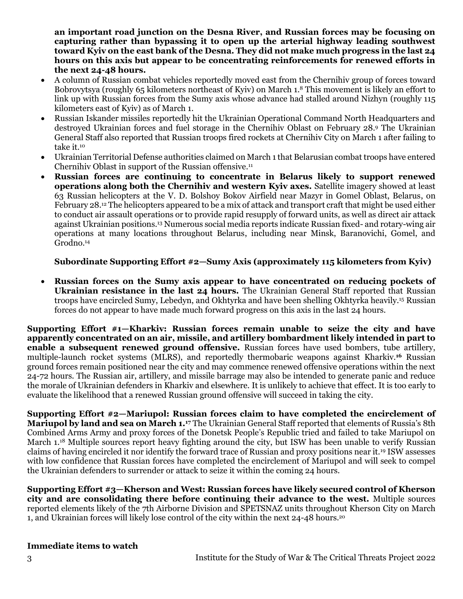**an important road junction on the Desna River, and Russian forces may be focusing on capturing rather than bypassing it to open up the arterial highway leading southwest toward Kyiv on the east bank of the Desna. They did not make much progress in the last 24 hours on this axis but appear to be concentrating reinforcements for renewed efforts in the next 24-48 hours.**

- A column of Russian combat vehicles reportedly moved east from the Chernihiv group of forces toward Bobrovytsya (roughly 65 kilometers northeast of Kyiv) on March 1.<sup>8</sup> This movement is likely an effort to link up with Russian forces from the Sumy axis whose advance had stalled around Nizhyn (roughly 115 kilometers east of Kyiv) as of March 1.
- Russian Iskander missiles reportedly hit the Ukrainian Operational Command North Headquarters and destroyed Ukrainian forces and fuel storage in the Chernihiv Oblast on February 28.<sup>9</sup> The Ukrainian General Staff also reported that Russian troops fired rockets at Chernihiv City on March 1 after failing to take it.<sup>10</sup>
- Ukrainian Territorial Defense authorities claimed on March 1 that Belarusian combat troops have entered Chernihiv Oblast in support of the Russian offensive.<sup>11</sup>
- **Russian forces are continuing to concentrate in Belarus likely to support renewed operations along both the Chernihiv and western Kyiv axes.** Satellite imagery showed at least 63 Russian helicopters at the V. D. Bolshoy Bokov Airfield near Mazyr in Gomel Oblast, Belarus, on February 28.<sup>12</sup> The helicopters appeared to be a mix of attack and transport craft that might be used either to conduct air assault operations or to provide rapid resupply of forward units, as well as direct air attack against Ukrainian positions.<sup>13</sup> Numerous social media reports indicate Russian fixed- and rotary-wing air operations at many locations throughout Belarus, including near Minsk, Baranovichi, Gomel, and Grodno.<sup>14</sup>

# **Subordinate Supporting Effort #2—Sumy Axis (approximately 115 kilometers from Kyiv)**

• **Russian forces on the Sumy axis appear to have concentrated on reducing pockets of Ukrainian resistance in the last 24 hours.** The Ukrainian General Staff reported that Russian troops have encircled Sumy, Lebedyn, and Okhtyrka and have been shelling Okhtyrka heavily.<sup>15</sup> Russian forces do not appear to have made much forward progress on this axis in the last 24 hours.

**Supporting Effort #1—Kharkiv: Russian forces remain unable to seize the city and have apparently concentrated on an air, missile, and artillery bombardment likely intended in part to enable a subsequent renewed ground offensive.** Russian forces have used bombers, tube artillery, multiple-launch rocket systems (MLRS), and reportedly thermobaric weapons against Kharkiv.**<sup>16</sup>** Russian ground forces remain positioned near the city and may commence renewed offensive operations within the next 24-72 hours. The Russian air, artillery, and missile barrage may also be intended to generate panic and reduce the morale of Ukrainian defenders in Kharkiv and elsewhere. It is unlikely to achieve that effect. It is too early to evaluate the likelihood that a renewed Russian ground offensive will succeed in taking the city.

**Supporting Effort #2—Mariupol: Russian forces claim to have completed the encirclement of Mariupol by land and sea on March 1.<sup>17</sup>** The Ukrainian General Staff reported that elements of Russia's 8th Combined Arms Army and proxy forces of the Donetsk People's Republic tried and failed to take Mariupol on March 1.<sup>18</sup> Multiple sources report heavy fighting around the city, but ISW has been unable to verify Russian claims of having encircled it nor identify the forward trace of Russian and proxy positions near it.<sup>19</sup> ISW assesses with low confidence that Russian forces have completed the encirclement of Mariupol and will seek to compel the Ukrainian defenders to surrender or attack to seize it within the coming 24 hours.

**Supporting Effort #3—Kherson and West: Russian forces have likely secured control of Kherson city and are consolidating there before continuing their advance to the west.** Multiple sources reported elements likely of the 7th Airborne Division and SPETSNAZ units throughout Kherson City on March 1, and Ukrainian forces will likely lose control of the city within the next 24-48 hours. 20

# **Immediate items to watch**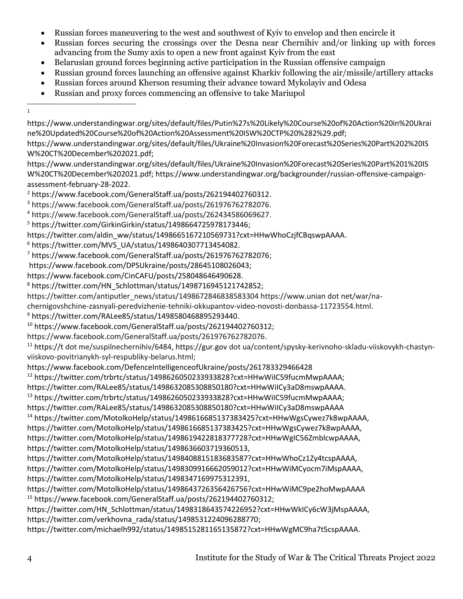- Russian forces maneuvering to the west and southwest of Kyiv to envelop and then encircle it
- Russian forces securing the crossings over the Desna near Chernihiv and/or linking up with forces advancing from the Sumy axis to open a new front against Kyiv from the east
- Belarusian ground forces beginning active participation in the Russian offensive campaign
- Russian ground forces launching an offensive against Kharkiv following the air/missile/artillery attacks
- Russian forces around Kherson resuming their advance toward Mykolayiv and Odesa
- Russian and proxy forces commencing an offensive to take Mariupol
- 1

- https://www.understandingwar.org/sites/default/files/Ukraine%20Invasion%20Forecast%20Series%20Part%201%20IS W%20CT%20December%202021.pdf; https://www.understandingwar.org/backgrounder/russian-offensive-campaignassessment-february-28-2022.
- <sup>2</sup> https://www.facebook.com/GeneralStaff.ua/posts/262194402760312.
- <sup>3</sup> https://www.facebook.com/GeneralStaff.ua/posts/261976762782076.
- <sup>4</sup> https://www.facebook.com/GeneralStaff.ua/posts/262434586069627.
- <sup>5</sup> https://twitter.com/GirkinGirkin/status/1498664725978173446;
- https://twitter.com/aldin\_ww/status/1498665167210569731?cxt=HHwWhoCzjfCBqswpAAAA.
- $6$  https://twitter.com/MVS\_UA/status/1498640307713454082.
- <sup>7</sup> https://www.facebook.com/GeneralStaff.ua/posts/261976762782076;
- https://www.facebook.com/DPSUkraine/posts/28645108026043;
- https://www.facebook.com/CinCAFU/posts/258048646490628.
- <sup>8</sup> https://twitter.com/HN\_Schlottman/status/1498716945121742852;
- https://twitter.com/antiputler\_news/status/1498672846838583304 https://www.unian dot net/war/na-
- chernigovshchine-zasnyali-peredvizhenie-tehniki-okkupantov-video-novosti-donbassa-11723554.html.
- <sup>9</sup> https://twitter.com/RALee85/status/1498580468895293440.
- <sup>10</sup> https://www.facebook.com/GeneralStaff.ua/posts/262194402760312;
- https://www.facebook.com/GeneralStaff.ua/posts/261976762782076.

<sup>11</sup> https://t dot me/suspilnechernihiv/6484, https://gur.gov dot ua/content/spysky-kerivnoho-skladu-viiskovykh-chastynviiskovo-povitrianykh-syl-respubliky-belarus.html;

https://www.facebook.com/DefenceIntelligenceofUkraine/posts/261783329466428

```
12 https://twitter.com/trbrtc/status/1498626050233933828?cxt=HHwWiIC59fucmMwpAAAA;
```
https://twitter.com/RALee85/status/1498632085308850180?cxt=HHwWiICy3aD8mswpAAAA.

```
13 https://twitter.com/trbrtc/status/1498626050233933828?cxt=HHwWiIC59fucmMwpAAAA;
```
https://twitter.com/RALee85/status/1498632085308850180?cxt=HHwWiICy3aD8mswpAAAA

<sup>14</sup> https://twitter.com/MotolkoHelp/status/1498616685137383425?cxt=HHwWgsCywez7k8wpAAAA,

https://twitter.com/MotolkoHelp/status/1498616685137383425?cxt=HHwWgsCywez7k8wpAAAA,

https://twitter.com/MotolkoHelp/status/1498619422818377728?cxt=HHwWgIC56ZmblcwpAAAA, https://twitter.com/MotolkoHelp/status/1498636603719360513,

```
https://twitter.com/MotolkoHelp/status/1498408815183683587?cxt=HHwWhoCz1Zy4tcspAAAA, 
https://twitter.com/MotolkoHelp/status/1498309916662059012?cxt=HHwWiMCyocm7iMspAAAA, 
https://twitter.com/MotolkoHelp/status/1498347169975312391,
```
https://twitter.com/MotolkoHelp/status/1498643726356426756?cxt=HHwWiMC9pe2hoMwpAAAA <sup>15</sup> https://www.facebook.com/GeneralStaff.ua/posts/262194402760312;

https://twitter.com/HN\_Schlottman/status/1498318643574226952?cxt=HHwWkICy6cW3jMspAAAA, https://twitter.com/verkhovna\_rada/status/1498531224096288770;

https://twitter.com/michaelh992/status/1498515281165135872?cxt=HHwWgMC9ha7t5cspAAAA.

https://www.understandingwar.org/sites/default/files/Putin%27s%20Likely%20Course%20of%20Action%20in%20Ukrai ne%20Updated%20Course%20of%20Action%20Assessment%20ISW%20CTP%20%282%29.pdf;

https://www.understandingwar.org/sites/default/files/Ukraine%20Invasion%20Forecast%20Series%20Part%202%20IS W%20CT%20December%202021.pdf;